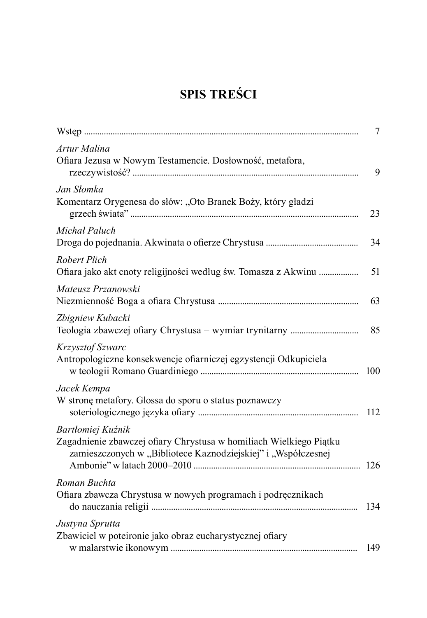## **SPIS TREŚCI**

|                                                                                                                                                          | 7   |
|----------------------------------------------------------------------------------------------------------------------------------------------------------|-----|
| Artur Malina<br>Ofiara Jezusa w Nowym Testamencie. Dosłowność, metafora,                                                                                 | 9   |
| Jan Słomka<br>Komentarz Orygenesa do słów: "Oto Branek Boży, który gładzi                                                                                | 23  |
| Michał Paluch                                                                                                                                            | 34  |
| Robert Plich<br>Ofiara jako akt cnoty religijności według św. Tomasza z Akwinu                                                                           | 51  |
| Mateusz Przanowski                                                                                                                                       | 63  |
| Zbigniew Kubacki                                                                                                                                         | 85  |
| Krzysztof Szwarc<br>Antropologiczne konsekwencje ofiarniczej egzystencji Odkupiciela                                                                     | 100 |
| Jacek Kempa<br>W stronę metafory. Glossa do sporu o status poznawczy                                                                                     | 112 |
| Bartłomiej Kuźnik<br>Zagadnienie zbawczej ofiary Chrystusa w homiliach Wielkiego Piątku<br>zamieszczonych w "Bibliotece Kaznodziejskiej" i "Współczesnej |     |
| Roman Buchta<br>Ofiara zbawcza Chrystusa w nowych programach i podręcznikach                                                                             | 134 |
| Justyna Sprutta<br>Zbawiciel w poteironie jako obraz eucharystycznej ofiary                                                                              | 149 |